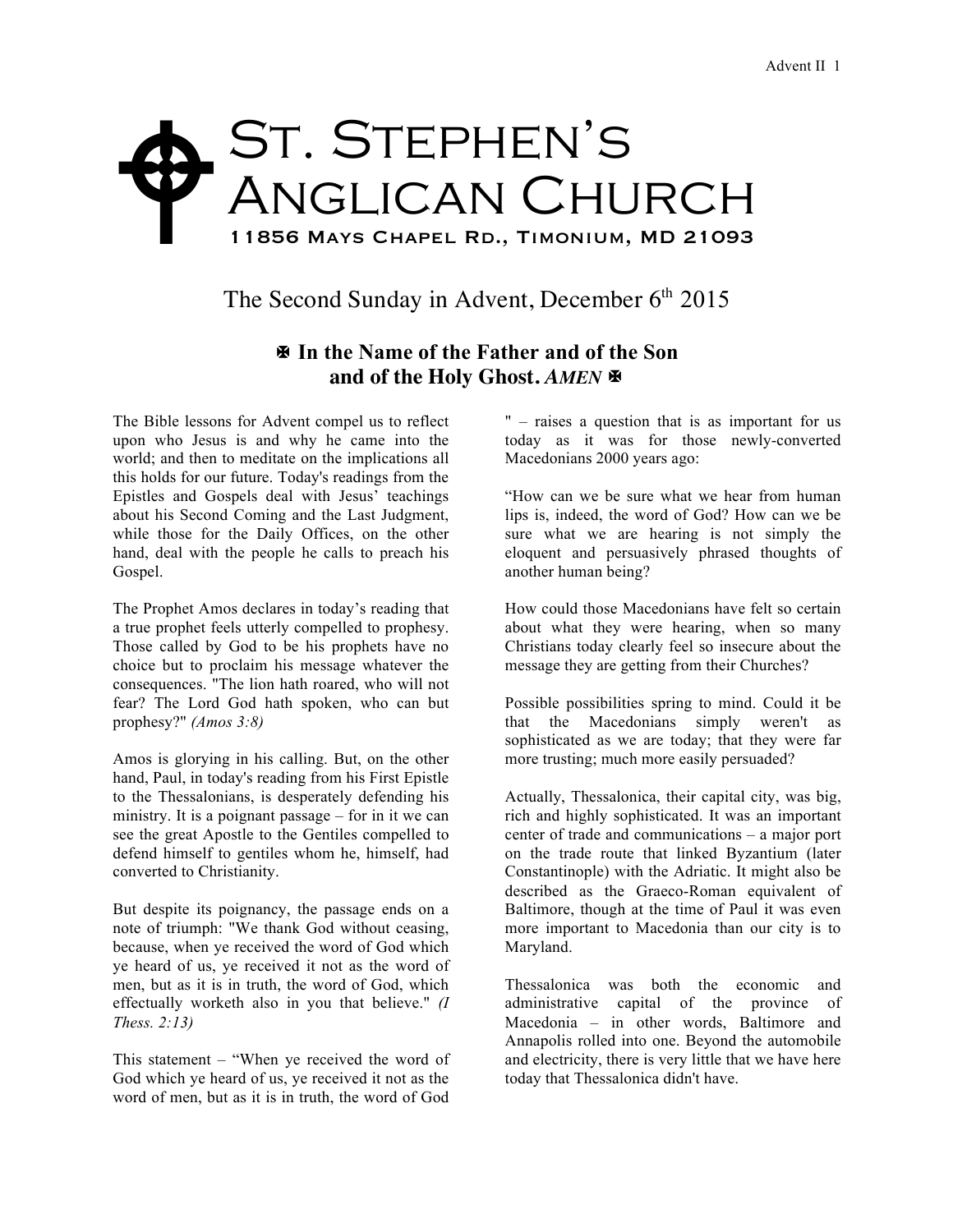## St. Stephen's ANGLICAN CHURCH 11856 Mays Chapel Rd., Timonium, MD 21093  $\blacklozenge$

The Second Sunday in Advent, December  $6<sup>th</sup> 2015$ 

## X **In the Name of the Father and of the Son** and of the Holy Ghost. AMEN  $\blacksquare$

The Bible lessons for Advent compel us to reflect upon who Jesus is and why he came into the world; and then to meditate on the implications all this holds for our future. Today's readings from the Epistles and Gospels deal with Jesus' teachings about his Second Coming and the Last Judgment, while those for the Daily Offices, on the other hand, deal with the people he calls to preach his Gospel.

The Prophet Amos declares in today's reading that a true prophet feels utterly compelled to prophesy. Those called by God to be his prophets have no choice but to proclaim his message whatever the consequences. "The lion hath roared, who will not fear? The Lord God hath spoken, who can but prophesy?" *(Amos 3:8)*

Amos is glorying in his calling. But, on the other hand, Paul, in today's reading from his First Epistle to the Thessalonians, is desperately defending his ministry. It is a poignant passage – for in it we can see the great Apostle to the Gentiles compelled to defend himself to gentiles whom he, himself, had converted to Christianity.

But despite its poignancy, the passage ends on a note of triumph: "We thank God without ceasing, because, when ye received the word of God which ye heard of us, ye received it not as the word of men, but as it is in truth, the word of God, which effectually worketh also in you that believe." *(I Thess. 2:13)*

This statement – "When ye received the word of God which ye heard of us, ye received it not as the word of men, but as it is in truth, the word of God " – raises a question that is as important for us today as it was for those newly-converted Macedonians 2000 years ago:

"How can we be sure what we hear from human lips is, indeed, the word of God? How can we be sure what we are hearing is not simply the eloquent and persuasively phrased thoughts of another human being?

How could those Macedonians have felt so certain about what they were hearing, when so many Christians today clearly feel so insecure about the message they are getting from their Churches?

Possible possibilities spring to mind. Could it be that the Macedonians simply weren't as sophisticated as we are today; that they were far more trusting; much more easily persuaded?

Actually, Thessalonica, their capital city, was big, rich and highly sophisticated. It was an important center of trade and communications – a major port on the trade route that linked Byzantium (later Constantinople) with the Adriatic. It might also be described as the Graeco-Roman equivalent of Baltimore, though at the time of Paul it was even more important to Macedonia than our city is to Maryland.

Thessalonica was both the economic and administrative capital of the province of Macedonia – in other words, Baltimore and Annapolis rolled into one. Beyond the automobile and electricity, there is very little that we have here today that Thessalonica didn't have.